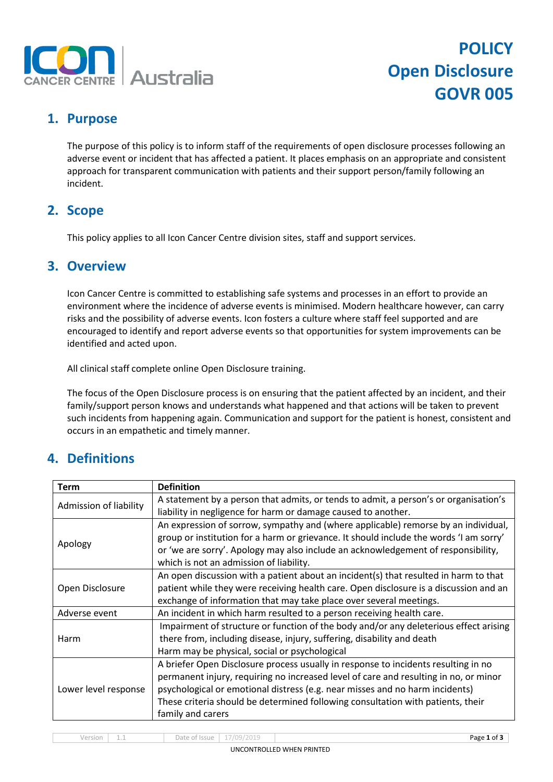

# **POLICY Open Disclosure GOVR 005**

### **1. Purpose**

The purpose of this policy is to inform staff of the requirements of open disclosure processes following an adverse event or incident that has affected a patient. It places emphasis on an appropriate and consistent approach for transparent communication with patients and their support person/family following an incident.

#### **2. Scope**

This policy applies to all Icon Cancer Centre division sites, staff and support services.

#### **3. Overview**

Icon Cancer Centre is committed to establishing safe systems and processes in an effort to provide an environment where the incidence of adverse events is minimised. Modern healthcare however, can carry risks and the possibility of adverse events. Icon fosters a culture where staff feel supported and are encouraged to identify and report adverse events so that opportunities for system improvements can be identified and acted upon.

All clinical staff complete online Open Disclosure training.

The focus of the Open Disclosure process is on ensuring that the patient affected by an incident, and their family/support person knows and understands what happened and that actions will be taken to prevent such incidents from happening again. Communication and support for the patient is honest, consistent and occurs in an empathetic and timely manner.

### **4. Definitions**

| <b>Term</b>            | <b>Definition</b>                                                                                                                                                                                                                                                                                                                                                  |  |
|------------------------|--------------------------------------------------------------------------------------------------------------------------------------------------------------------------------------------------------------------------------------------------------------------------------------------------------------------------------------------------------------------|--|
| Admission of liability | A statement by a person that admits, or tends to admit, a person's or organisation's<br>liability in negligence for harm or damage caused to another.                                                                                                                                                                                                              |  |
| Apology                | An expression of sorrow, sympathy and (where applicable) remorse by an individual,<br>group or institution for a harm or grievance. It should include the words 'I am sorry'<br>or 'we are sorry'. Apology may also include an acknowledgement of responsibility,<br>which is not an admission of liability.                                                       |  |
| Open Disclosure        | An open discussion with a patient about an incident(s) that resulted in harm to that<br>patient while they were receiving health care. Open disclosure is a discussion and an<br>exchange of information that may take place over several meetings.                                                                                                                |  |
| Adverse event          | An incident in which harm resulted to a person receiving health care.                                                                                                                                                                                                                                                                                              |  |
| Harm                   | Impairment of structure or function of the body and/or any deleterious effect arising<br>there from, including disease, injury, suffering, disability and death<br>Harm may be physical, social or psychological                                                                                                                                                   |  |
| Lower level response   | A briefer Open Disclosure process usually in response to incidents resulting in no<br>permanent injury, requiring no increased level of care and resulting in no, or minor<br>psychological or emotional distress (e.g. near misses and no harm incidents)<br>These criteria should be determined following consultation with patients, their<br>family and carers |  |

Version 1.1 Date of Issue 17/09/2019 Page **1** of **3**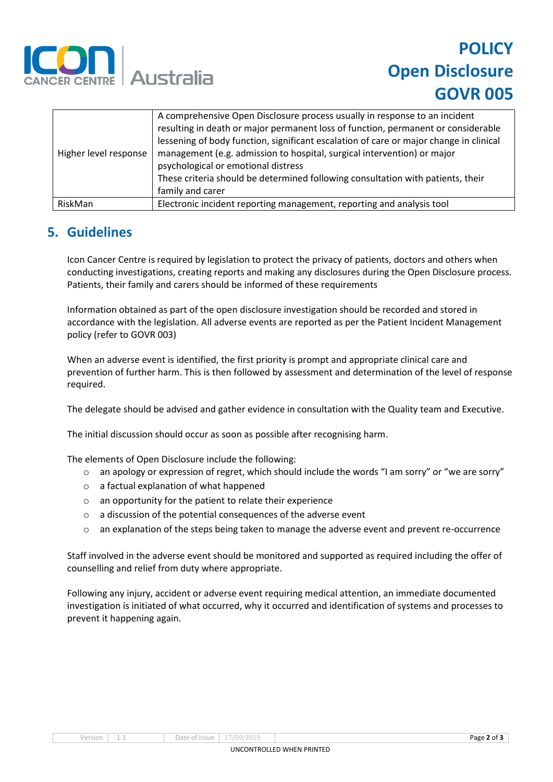

## **POLICY Open Disclosure GOVR 005**

| Higher level response | A comprehensive Open Disclosure process usually in response to an incident<br>resulting in death or major permanent loss of function, permanent or considerable<br>lessening of body function, significant escalation of care or major change in clinical<br>management (e.g. admission to hospital, surgical intervention) or major<br>psychological or emotional distress<br>These criteria should be determined following consultation with patients, their<br>family and carer |
|-----------------------|------------------------------------------------------------------------------------------------------------------------------------------------------------------------------------------------------------------------------------------------------------------------------------------------------------------------------------------------------------------------------------------------------------------------------------------------------------------------------------|
| RiskMan               | Electronic incident reporting management, reporting and analysis tool                                                                                                                                                                                                                                                                                                                                                                                                              |

### **5. Guidelines**

Icon Cancer Centre is required by legislation to protect the privacy of patients, doctors and others when conducting investigations, creating reports and making any disclosures during the Open Disclosure process. Patients, their family and carers should be informed of these requirements

Information obtained as part of the open disclosure investigation should be recorded and stored in accordance with the legislation. All adverse events are reported as per the Patient Incident Management policy (refer to GOVR 003)

When an adverse event is identified, the first priority is prompt and appropriate clinical care and prevention of further harm. This is then followed by assessment and determination of the level of response required.

The delegate should be advised and gather evidence in consultation with the Quality team and Executive.

The initial discussion should occur as soon as possible after recognising harm.

The elements of Open Disclosure include the following:

- $\circ$  an apology or expression of regret, which should include the words "I am sorry" or "we are sorry"
- o a factual explanation of what happened
- o an opportunity for the patient to relate their experience
- o a discussion of the potential consequences of the adverse event
- o an explanation of the steps being taken to manage the adverse event and prevent re-occurrence

Staff involved in the adverse event should be monitored and supported as required including the offer of counselling and relief from duty where appropriate.

Following any injury, accident or adverse event requiring medical attention, an immediate documented investigation is initiated of what occurred, why it occurred and identification of systems and processes to prevent it happening again.

Version 1.1 Date of Issue 17/09/2019 Page **2** of **3**